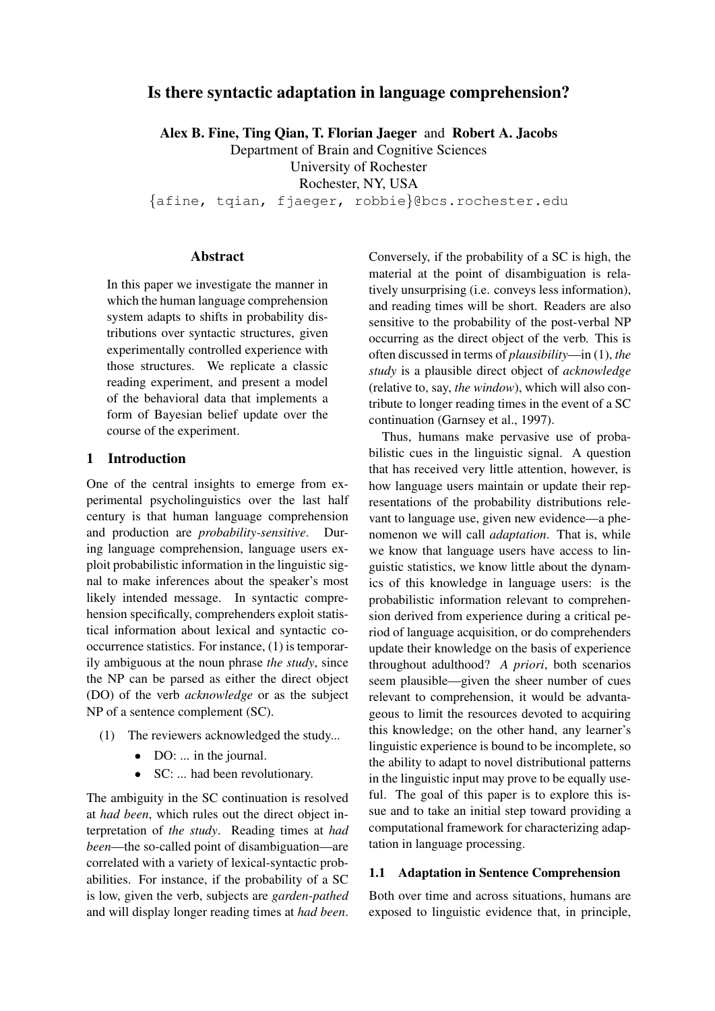# Is there syntactic adaptation in language comprehension?

Alex B. Fine, Ting Qian, T. Florian Jaeger and Robert A. Jacobs

Department of Brain and Cognitive Sciences

University of Rochester Rochester, NY, USA

{afine, tqian, fjaeger, robbie}@bcs.rochester.edu

# Abstract

In this paper we investigate the manner in which the human language comprehension system adapts to shifts in probability distributions over syntactic structures, given experimentally controlled experience with those structures. We replicate a classic reading experiment, and present a model of the behavioral data that implements a form of Bayesian belief update over the course of the experiment.

### 1 Introduction

One of the central insights to emerge from experimental psycholinguistics over the last half century is that human language comprehension and production are *probability-sensitive*. During language comprehension, language users exploit probabilistic information in the linguistic signal to make inferences about the speaker's most likely intended message. In syntactic comprehension specifically, comprehenders exploit statistical information about lexical and syntactic cooccurrence statistics. For instance, (1) is temporarily ambiguous at the noun phrase *the study*, since the NP can be parsed as either the direct object (DO) of the verb *acknowledge* or as the subject NP of a sentence complement (SC).

- (1) The reviewers acknowledged the study...
	- DO: ... in the journal.
	- SC: ... had been revolutionary.

The ambiguity in the SC continuation is resolved at *had been*, which rules out the direct object interpretation of *the study*. Reading times at *had been*—the so-called point of disambiguation—are correlated with a variety of lexical-syntactic probabilities. For instance, if the probability of a SC is low, given the verb, subjects are *garden-pathed* and will display longer reading times at *had been*. Conversely, if the probability of a SC is high, the material at the point of disambiguation is relatively unsurprising (i.e. conveys less information), and reading times will be short. Readers are also sensitive to the probability of the post-verbal NP occurring as the direct object of the verb. This is often discussed in terms of *plausibility*—in (1), *the study* is a plausible direct object of *acknowledge* (relative to, say, *the window*), which will also contribute to longer reading times in the event of a SC continuation (Garnsey et al., 1997).

Thus, humans make pervasive use of probabilistic cues in the linguistic signal. A question that has received very little attention, however, is how language users maintain or update their representations of the probability distributions relevant to language use, given new evidence—a phenomenon we will call *adaptation*. That is, while we know that language users have access to linguistic statistics, we know little about the dynamics of this knowledge in language users: is the probabilistic information relevant to comprehension derived from experience during a critical period of language acquisition, or do comprehenders update their knowledge on the basis of experience throughout adulthood? *A priori*, both scenarios seem plausible—given the sheer number of cues relevant to comprehension, it would be advantageous to limit the resources devoted to acquiring this knowledge; on the other hand, any learner's linguistic experience is bound to be incomplete, so the ability to adapt to novel distributional patterns in the linguistic input may prove to be equally useful. The goal of this paper is to explore this issue and to take an initial step toward providing a computational framework for characterizing adaptation in language processing.

# 1.1 Adaptation in Sentence Comprehension

Both over time and across situations, humans are exposed to linguistic evidence that, in principle,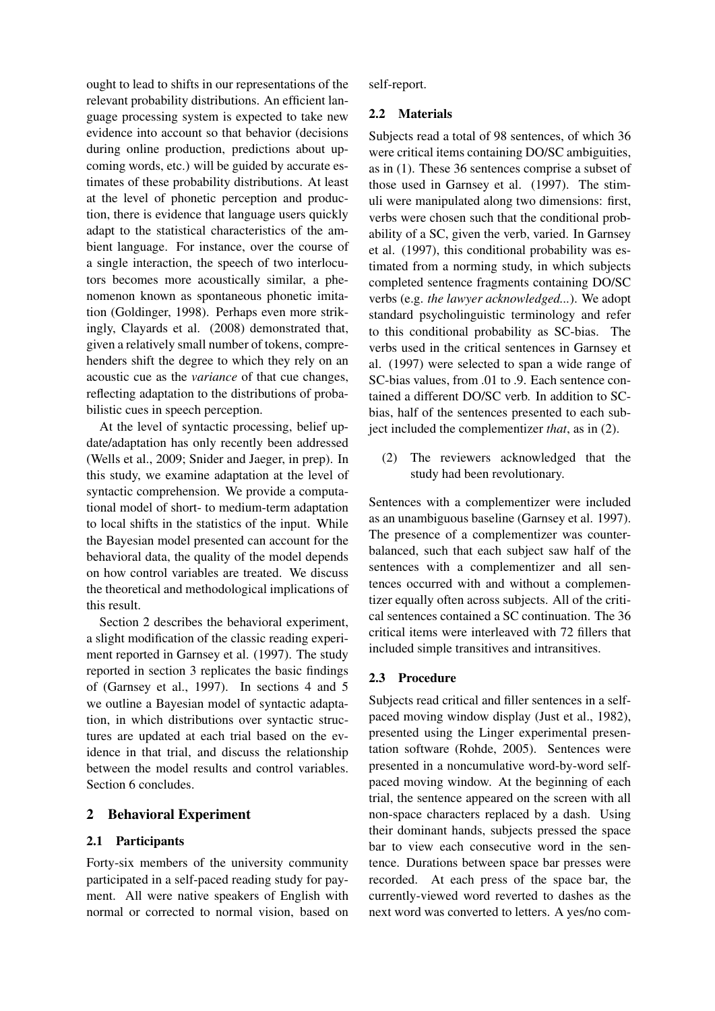ought to lead to shifts in our representations of the relevant probability distributions. An efficient language processing system is expected to take new evidence into account so that behavior (decisions during online production, predictions about upcoming words, etc.) will be guided by accurate estimates of these probability distributions. At least at the level of phonetic perception and production, there is evidence that language users quickly adapt to the statistical characteristics of the ambient language. For instance, over the course of a single interaction, the speech of two interlocutors becomes more acoustically similar, a phenomenon known as spontaneous phonetic imitation (Goldinger, 1998). Perhaps even more strikingly, Clayards et al. (2008) demonstrated that, given a relatively small number of tokens, comprehenders shift the degree to which they rely on an acoustic cue as the *variance* of that cue changes, reflecting adaptation to the distributions of probabilistic cues in speech perception.

At the level of syntactic processing, belief update/adaptation has only recently been addressed (Wells et al., 2009; Snider and Jaeger, in prep). In this study, we examine adaptation at the level of syntactic comprehension. We provide a computational model of short- to medium-term adaptation to local shifts in the statistics of the input. While the Bayesian model presented can account for the behavioral data, the quality of the model depends on how control variables are treated. We discuss the theoretical and methodological implications of this result.

Section 2 describes the behavioral experiment, a slight modification of the classic reading experiment reported in Garnsey et al. (1997). The study reported in section 3 replicates the basic findings of (Garnsey et al., 1997). In sections 4 and 5 we outline a Bayesian model of syntactic adaptation, in which distributions over syntactic structures are updated at each trial based on the evidence in that trial, and discuss the relationship between the model results and control variables. Section 6 concludes.

# 2 Behavioral Experiment

### 2.1 Participants

Forty-six members of the university community participated in a self-paced reading study for payment. All were native speakers of English with normal or corrected to normal vision, based on self-report.

### 2.2 Materials

Subjects read a total of 98 sentences, of which 36 were critical items containing DO/SC ambiguities, as in (1). These 36 sentences comprise a subset of those used in Garnsey et al. (1997). The stimuli were manipulated along two dimensions: first, verbs were chosen such that the conditional probability of a SC, given the verb, varied. In Garnsey et al. (1997), this conditional probability was estimated from a norming study, in which subjects completed sentence fragments containing DO/SC verbs (e.g. *the lawyer acknowledged...*). We adopt standard psycholinguistic terminology and refer to this conditional probability as SC-bias. The verbs used in the critical sentences in Garnsey et al. (1997) were selected to span a wide range of SC-bias values, from .01 to .9. Each sentence contained a different DO/SC verb. In addition to SCbias, half of the sentences presented to each subject included the complementizer *that*, as in (2).

(2) The reviewers acknowledged that the study had been revolutionary.

Sentences with a complementizer were included as an unambiguous baseline (Garnsey et al. 1997). The presence of a complementizer was counterbalanced, such that each subject saw half of the sentences with a complementizer and all sentences occurred with and without a complementizer equally often across subjects. All of the critical sentences contained a SC continuation. The 36 critical items were interleaved with 72 fillers that included simple transitives and intransitives.

# 2.3 Procedure

Subjects read critical and filler sentences in a selfpaced moving window display (Just et al., 1982), presented using the Linger experimental presentation software (Rohde, 2005). Sentences were presented in a noncumulative word-by-word selfpaced moving window. At the beginning of each trial, the sentence appeared on the screen with all non-space characters replaced by a dash. Using their dominant hands, subjects pressed the space bar to view each consecutive word in the sentence. Durations between space bar presses were recorded. At each press of the space bar, the currently-viewed word reverted to dashes as the next word was converted to letters. A yes/no com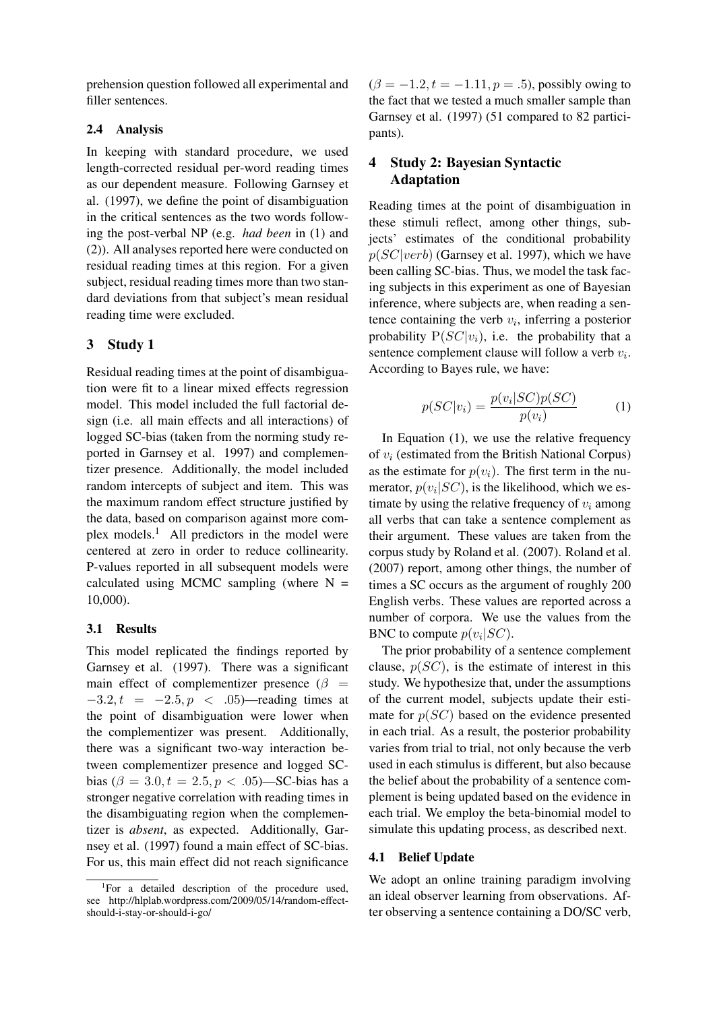prehension question followed all experimental and filler sentences.

# 2.4 Analysis

In keeping with standard procedure, we used length-corrected residual per-word reading times as our dependent measure. Following Garnsey et al. (1997), we define the point of disambiguation in the critical sentences as the two words following the post-verbal NP (e.g. *had been* in (1) and (2)). All analyses reported here were conducted on residual reading times at this region. For a given subject, residual reading times more than two standard deviations from that subject's mean residual reading time were excluded.

# 3 Study 1

Residual reading times at the point of disambiguation were fit to a linear mixed effects regression model. This model included the full factorial design (i.e. all main effects and all interactions) of logged SC-bias (taken from the norming study reported in Garnsey et al. 1997) and complementizer presence. Additionally, the model included random intercepts of subject and item. This was the maximum random effect structure justified by the data, based on comparison against more complex models.1 All predictors in the model were centered at zero in order to reduce collinearity. P-values reported in all subsequent models were calculated using MCMC sampling (where  $N =$ 10,000).

### 3.1 Results

This model replicated the findings reported by Garnsey et al. (1997). There was a significant main effect of complementizer presence ( $\beta$  =  $-3.2, t = -2.5, p < .05$ )—reading times at the point of disambiguation were lower when the complementizer was present. Additionally, there was a significant two-way interaction between complementizer presence and logged SCbias ( $\beta = 3.0, t = 2.5, p < .05$ )—SC-bias has a stronger negative correlation with reading times in the disambiguating region when the complementizer is *absent*, as expected. Additionally, Garnsey et al. (1997) found a main effect of SC-bias. For us, this main effect did not reach significance  $(\beta = -1.2, t = -1.11, p = .5)$ , possibly owing to the fact that we tested a much smaller sample than Garnsey et al. (1997) (51 compared to 82 participants).

# 4 Study 2: Bayesian Syntactic Adaptation

Reading times at the point of disambiguation in these stimuli reflect, among other things, subjects' estimates of the conditional probability  $p(SC|verb)$  (Garnsey et al. 1997), which we have been calling SC-bias. Thus, we model the task facing subjects in this experiment as one of Bayesian inference, where subjects are, when reading a sentence containing the verb  $v_i$ , inferring a posterior probability  $P(SC|v_i)$ , i.e. the probability that a sentence complement clause will follow a verb  $v_i$ . According to Bayes rule, we have:

$$
p(SC|v_i) = \frac{p(v_i|SC)p(SC)}{p(v_i)}\tag{1}
$$

In Equation (1), we use the relative frequency of  $v_i$  (estimated from the British National Corpus) as the estimate for  $p(v_i)$ . The first term in the numerator,  $p(v_i|SC)$ , is the likelihood, which we estimate by using the relative frequency of  $v_i$  among all verbs that can take a sentence complement as their argument. These values are taken from the corpus study by Roland et al. (2007). Roland et al. (2007) report, among other things, the number of times a SC occurs as the argument of roughly 200 English verbs. These values are reported across a number of corpora. We use the values from the BNC to compute  $p(v_i|SC)$ .

The prior probability of a sentence complement clause,  $p(SC)$ , is the estimate of interest in this study. We hypothesize that, under the assumptions of the current model, subjects update their estimate for  $p(SC)$  based on the evidence presented in each trial. As a result, the posterior probability varies from trial to trial, not only because the verb used in each stimulus is different, but also because the belief about the probability of a sentence complement is being updated based on the evidence in each trial. We employ the beta-binomial model to simulate this updating process, as described next.

#### 4.1 Belief Update

We adopt an online training paradigm involving an ideal observer learning from observations. After observing a sentence containing a DO/SC verb,

<sup>&</sup>lt;sup>1</sup>For a detailed description of the procedure used, see http://hlplab.wordpress.com/2009/05/14/random-effectshould-i-stay-or-should-i-go/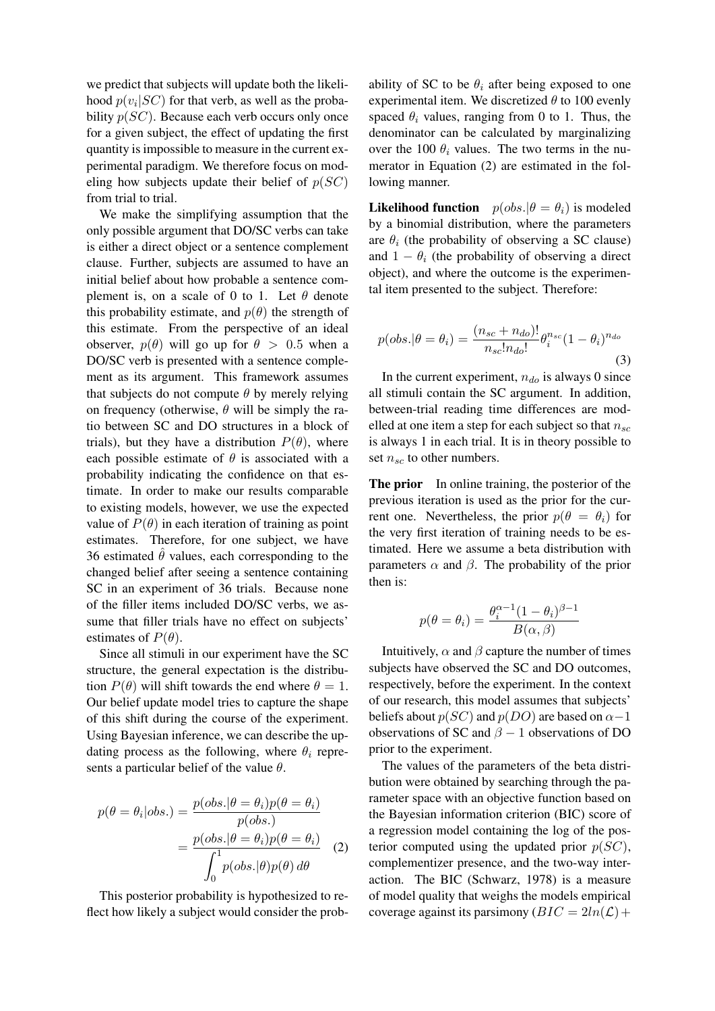we predict that subjects will update both the likelihood  $p(v_i|SC)$  for that verb, as well as the probability  $p(SC)$ . Because each verb occurs only once for a given subject, the effect of updating the first quantity is impossible to measure in the current experimental paradigm. We therefore focus on modeling how subjects update their belief of  $p(SC)$ from trial to trial.

We make the simplifying assumption that the only possible argument that DO/SC verbs can take is either a direct object or a sentence complement clause. Further, subjects are assumed to have an initial belief about how probable a sentence complement is, on a scale of 0 to 1. Let  $\theta$  denote this probability estimate, and  $p(\theta)$  the strength of this estimate. From the perspective of an ideal observer,  $p(\theta)$  will go up for  $\theta > 0.5$  when a DO/SC verb is presented with a sentence complement as its argument. This framework assumes that subjects do not compute  $\theta$  by merely relying on frequency (otherwise,  $\theta$  will be simply the ratio between SC and DO structures in a block of trials), but they have a distribution  $P(\theta)$ , where each possible estimate of  $\theta$  is associated with a probability indicating the confidence on that estimate. In order to make our results comparable to existing models, however, we use the expected value of  $P(\theta)$  in each iteration of training as point estimates. Therefore, for one subject, we have 36 estimated  $\theta$  values, each corresponding to the changed belief after seeing a sentence containing SC in an experiment of 36 trials. Because none of the filler items included DO/SC verbs, we assume that filler trials have no effect on subjects' estimates of  $P(\theta)$ .

Since all stimuli in our experiment have the SC structure, the general expectation is the distribution  $P(\theta)$  will shift towards the end where  $\theta = 1$ . Our belief update model tries to capture the shape of this shift during the course of the experiment. Using Bayesian inference, we can describe the updating process as the following, where  $\theta_i$  represents a particular belief of the value  $\theta$ .

$$
p(\theta = \theta_i | obs.) = \frac{p(obs.|\theta = \theta_i)p(\theta = \theta_i)}{p(obs.)}
$$

$$
= \frac{p(obs.|\theta = \theta_i)p(\theta = \theta_i)}{\int_0^1 p(obs.|\theta)p(\theta) d\theta}
$$
(2)

This posterior probability is hypothesized to reflect how likely a subject would consider the prob-

ability of SC to be  $\theta_i$  after being exposed to one experimental item. We discretized  $\theta$  to 100 evenly spaced  $\theta_i$  values, ranging from 0 to 1. Thus, the denominator can be calculated by marginalizing over the 100  $\theta_i$  values. The two terms in the numerator in Equation (2) are estimated in the following manner.

**Likelihood function**  $p(obs.|\theta = \theta_i)$  is modeled by a binomial distribution, where the parameters are  $\theta_i$  (the probability of observing a SC clause) and  $1 - \theta_i$  (the probability of observing a direct object), and where the outcome is the experimental item presented to the subject. Therefore:

$$
p(obs.|\theta = \theta_i) = \frac{(n_{sc} + n_{do})!}{n_{sc}! n_{do}!} \theta_i^{n_{sc}} (1 - \theta_i)^{n_{do}}
$$
\n(3)

In the current experiment,  $n_{do}$  is always 0 since all stimuli contain the SC argument. In addition, between-trial reading time differences are modelled at one item a step for each subject so that  $n_{sc}$ is always 1 in each trial. It is in theory possible to set  $n_{sc}$  to other numbers.

The prior In online training, the posterior of the previous iteration is used as the prior for the current one. Nevertheless, the prior  $p(\theta = \theta_i)$  for the very first iteration of training needs to be estimated. Here we assume a beta distribution with parameters  $\alpha$  and  $\beta$ . The probability of the prior then is:

$$
p(\theta = \theta_i) = \frac{\theta_i^{\alpha - 1} (1 - \theta_i)^{\beta - 1}}{B(\alpha, \beta)}
$$

Intuitively,  $\alpha$  and  $\beta$  capture the number of times subjects have observed the SC and DO outcomes, respectively, before the experiment. In the context of our research, this model assumes that subjects' beliefs about  $p(SC)$  and  $p(DO)$  are based on  $\alpha-1$ observations of SC and  $\beta - 1$  observations of DO prior to the experiment.

The values of the parameters of the beta distribution were obtained by searching through the parameter space with an objective function based on the Bayesian information criterion (BIC) score of a regression model containing the log of the posterior computed using the updated prior  $p(SC)$ , complementizer presence, and the two-way interaction. The BIC (Schwarz, 1978) is a measure of model quality that weighs the models empirical coverage against its parsimony  $(BIC = 2ln(\mathcal{L}) +$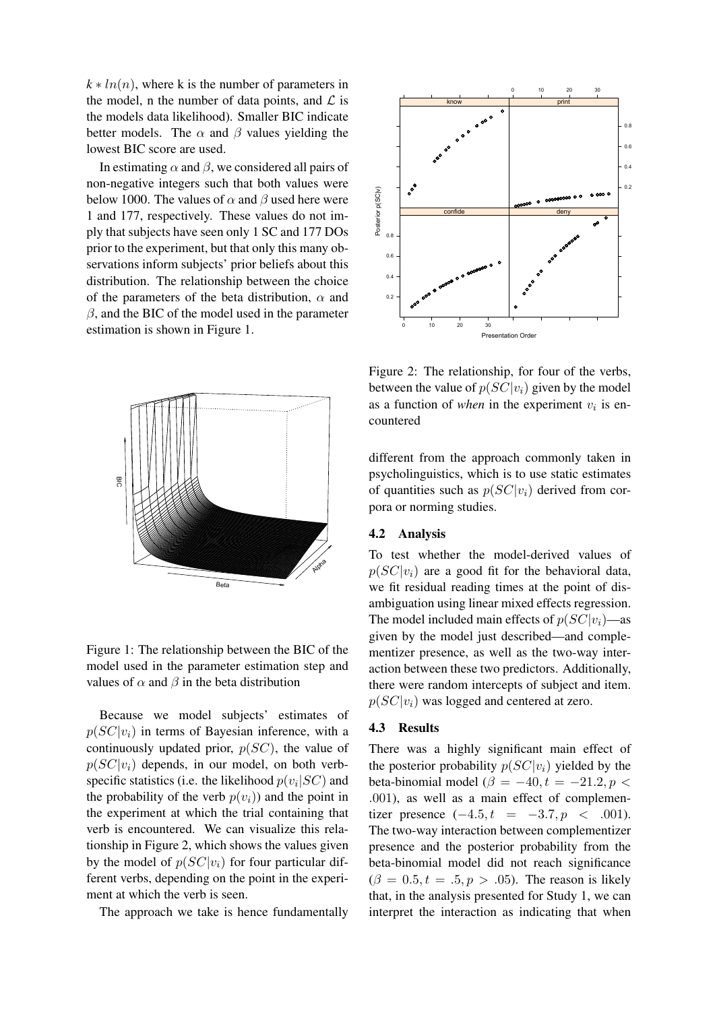$k * ln(n)$ , where k is the number of parameters in the model, n the number of data points, and  $\mathcal{L}$  is the models data likelihood). Smaller BIC indicate better models. The  $\alpha$  and  $\beta$  values yielding the lowest BIC score are used.

In estimating  $\alpha$  and  $\beta$ , we considered all pairs of non-negative integers such that both values were below 1000. The values of  $\alpha$  and  $\beta$  used here were 1 and 177, respectively. These values do not imply that subjects have seen only 1 SC and 177 DOs prior to the experiment, but that only this many observations inform subjects' prior beliefs about this distribution. The relationship between the choice of the parameters of the beta distribution,  $\alpha$  and  $\beta$ , and the BIC of the model used in the parameter estimation is shown in Figure 1.



Figure 1: The relationship between the BIC of the model used in the parameter estimation step and values of  $\alpha$  and  $\beta$  in the beta distribution

Because we model subjects' estimates of  $p(SC|v_i)$  in terms of Bayesian inference, with a continuously updated prior,  $p(SC)$ , the value of  $p(SC|v_i)$  depends, in our model, on both verbspecific statistics (i.e. the likelihood  $p(v_i|SC)$  and the probability of the verb  $p(v_i)$  and the point in the experiment at which the trial containing that verb is encountered. We can visualize this relationship in Figure 2, which shows the values given by the model of  $p(SC|v_i)$  for four particular different verbs, depending on the point in the experiment at which the verb is seen.

The approach we take is hence fundamentally



Figure 2: The relationship, for four of the verbs, between the value of  $p(SC|v_i)$  given by the model as a function of *when* in the experiment  $v_i$  is encountered

different from the approach commonly taken in psycholinguistics, which is to use static estimates of quantities such as  $p(SC|v_i)$  derived from corpora or norming studies.

### 4.2 Analysis

To test whether the model-derived values of  $p(SC|v_i)$  are a good fit for the behavioral data, we fit residual reading times at the point of disambiguation using linear mixed effects regression. The model included main effects of  $p(SC|v_i)$ —as given by the model just described—and complementizer presence, as well as the two-way interaction between these two predictors. Additionally, there were random intercepts of subject and item.  $p(SC|v_i)$  was logged and centered at zero.

### 4.3 Results

There was a highly significant main effect of the posterior probability  $p(SC|v_i)$  yielded by the beta-binomial model ( $\beta = -40, t = -21.2, p <$ .001), as well as a main effect of complementizer presence  $(-4.5, t = -3.7, p < .001)$ . The two-way interaction between complementizer presence and the posterior probability from the beta-binomial model did not reach significance  $(\beta = 0.5, t = .5, p > .05)$ . The reason is likely that, in the analysis presented for Study 1, we can interpret the interaction as indicating that when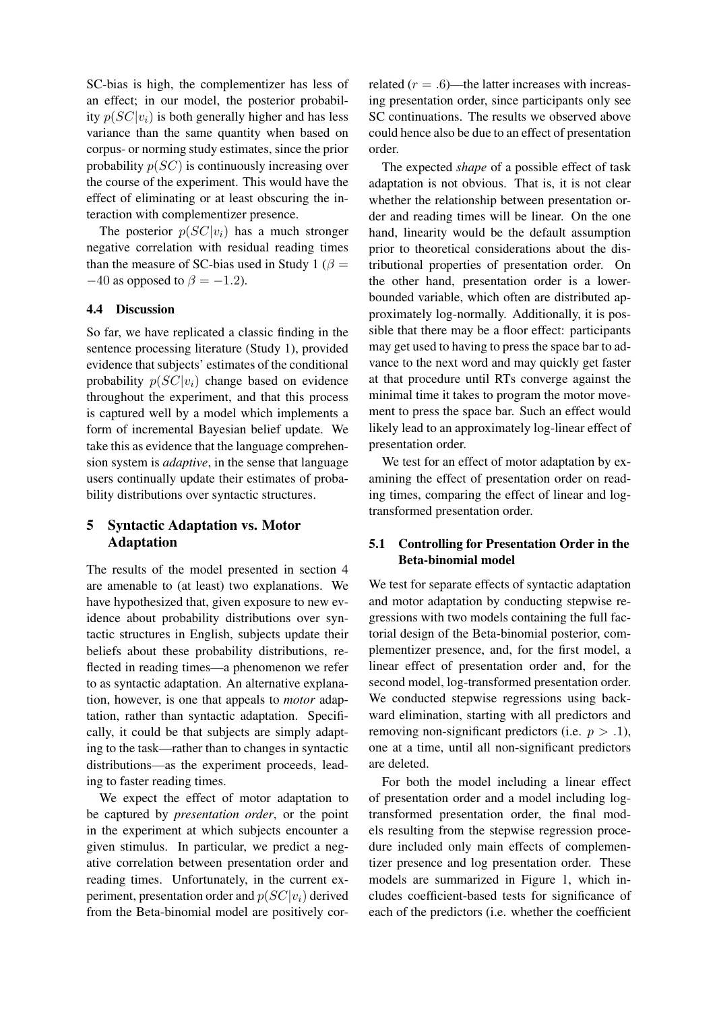SC-bias is high, the complementizer has less of an effect; in our model, the posterior probability  $p(SC|v_i)$  is both generally higher and has less variance than the same quantity when based on corpus- or norming study estimates, since the prior probability  $p(SC)$  is continuously increasing over the course of the experiment. This would have the effect of eliminating or at least obscuring the interaction with complementizer presence.

The posterior  $p(SC|v_i)$  has a much stronger negative correlation with residual reading times than the measure of SC-bias used in Study 1 ( $\beta$  =  $-40$  as opposed to  $\beta = -1.2$ ).

### 4.4 Discussion

So far, we have replicated a classic finding in the sentence processing literature (Study 1), provided evidence that subjects' estimates of the conditional probability  $p(SC|v_i)$  change based on evidence throughout the experiment, and that this process is captured well by a model which implements a form of incremental Bayesian belief update. We take this as evidence that the language comprehension system is *adaptive*, in the sense that language users continually update their estimates of probability distributions over syntactic structures.

# 5 Syntactic Adaptation vs. Motor Adaptation

The results of the model presented in section 4 are amenable to (at least) two explanations. We have hypothesized that, given exposure to new evidence about probability distributions over syntactic structures in English, subjects update their beliefs about these probability distributions, reflected in reading times—a phenomenon we refer to as syntactic adaptation. An alternative explanation, however, is one that appeals to *motor* adaptation, rather than syntactic adaptation. Specifically, it could be that subjects are simply adapting to the task—rather than to changes in syntactic distributions—as the experiment proceeds, leading to faster reading times.

We expect the effect of motor adaptation to be captured by *presentation order*, or the point in the experiment at which subjects encounter a given stimulus. In particular, we predict a negative correlation between presentation order and reading times. Unfortunately, in the current experiment, presentation order and  $p(SC|v_i)$  derived from the Beta-binomial model are positively correlated  $(r = .6)$ —the latter increases with increasing presentation order, since participants only see SC continuations. The results we observed above could hence also be due to an effect of presentation order.

The expected *shape* of a possible effect of task adaptation is not obvious. That is, it is not clear whether the relationship between presentation order and reading times will be linear. On the one hand, linearity would be the default assumption prior to theoretical considerations about the distributional properties of presentation order. On the other hand, presentation order is a lowerbounded variable, which often are distributed approximately log-normally. Additionally, it is possible that there may be a floor effect: participants may get used to having to press the space bar to advance to the next word and may quickly get faster at that procedure until RTs converge against the minimal time it takes to program the motor movement to press the space bar. Such an effect would likely lead to an approximately log-linear effect of presentation order.

We test for an effect of motor adaptation by examining the effect of presentation order on reading times, comparing the effect of linear and logtransformed presentation order.

# 5.1 Controlling for Presentation Order in the Beta-binomial model

We test for separate effects of syntactic adaptation and motor adaptation by conducting stepwise regressions with two models containing the full factorial design of the Beta-binomial posterior, complementizer presence, and, for the first model, a linear effect of presentation order and, for the second model, log-transformed presentation order. We conducted stepwise regressions using backward elimination, starting with all predictors and removing non-significant predictors (i.e.  $p > .1$ ), one at a time, until all non-significant predictors are deleted.

For both the model including a linear effect of presentation order and a model including logtransformed presentation order, the final models resulting from the stepwise regression procedure included only main effects of complementizer presence and log presentation order. These models are summarized in Figure 1, which includes coefficient-based tests for significance of each of the predictors (i.e. whether the coefficient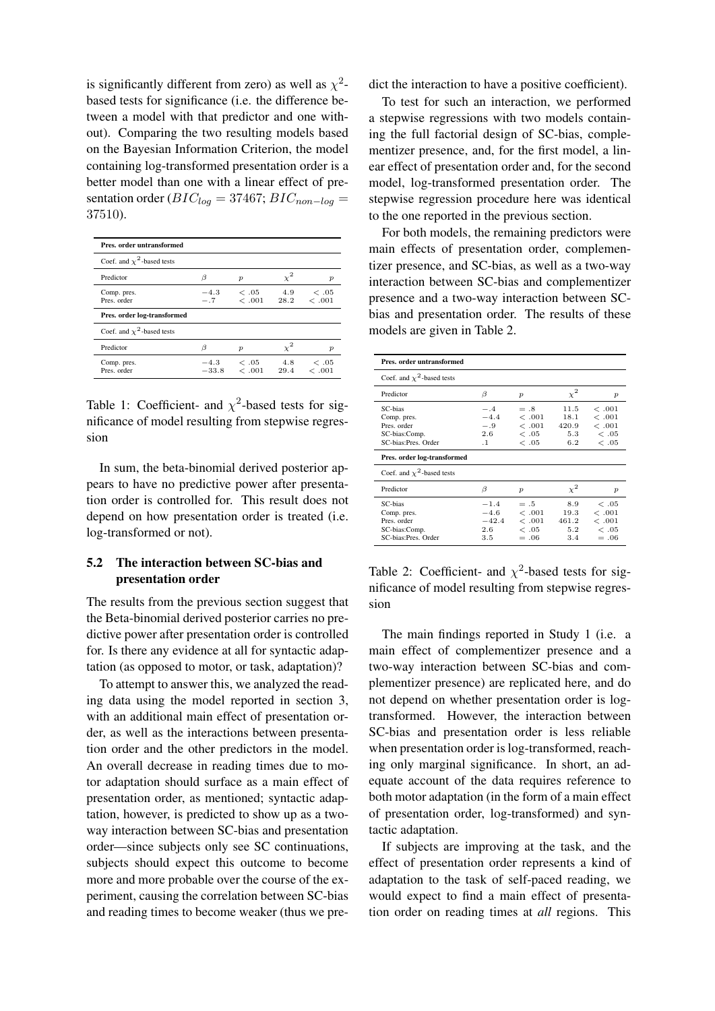is significantly different from zero) as well as  $\chi^2$ based tests for significance (i.e. the difference between a model with that predictor and one without). Comparing the two resulting models based on the Bayesian Information Criterion, the model containing log-transformed presentation order is a better model than one with a linear effect of presentation order ( $BIC_{log} = 37467$ ;  $BIC_{non-log} =$ 37510).

| Pres. order untransformed       |                   |                                |       |               |
|---------------------------------|-------------------|--------------------------------|-------|---------------|
| Coef. and $\chi^2$ -based tests |                   |                                |       |               |
| Predictor                       | B                 | $\boldsymbol{p}$               | $x^2$ | р             |
| Comp. pres.<br>Pres. order      | $-4.3$<br>$-.7$   | $\epsilon$ .05<br>$<.001$ 28.2 | 4.9   | <.05<br><.001 |
| Pres. order log-transformed     |                   |                                |       |               |
| Coef. and $\chi^2$ -based tests |                   |                                |       |               |
| Predictor                       | ß                 | $\boldsymbol{p}$               | $x^2$ | р             |
| Comp. pres.<br>Pres. order      | $-4.3$<br>$-33.8$ | <.05<br>$< .001$ 29.4          | 4.8   | <.05<br><.001 |

Table 1: Coefficient- and  $\chi^2$ -based tests for significance of model resulting from stepwise regression

In sum, the beta-binomial derived posterior appears to have no predictive power after presentation order is controlled for. This result does not depend on how presentation order is treated (i.e. log-transformed or not).

# 5.2 The interaction between SC-bias and presentation order

The results from the previous section suggest that the Beta-binomial derived posterior carries no predictive power after presentation order is controlled for. Is there any evidence at all for syntactic adaptation (as opposed to motor, or task, adaptation)?

To attempt to answer this, we analyzed the reading data using the model reported in section 3, with an additional main effect of presentation order, as well as the interactions between presentation order and the other predictors in the model. An overall decrease in reading times due to motor adaptation should surface as a main effect of presentation order, as mentioned; syntactic adaptation, however, is predicted to show up as a twoway interaction between SC-bias and presentation order—since subjects only see SC continuations, subjects should expect this outcome to become more and more probable over the course of the experiment, causing the correlation between SC-bias and reading times to become weaker (thus we predict the interaction to have a positive coefficient).

To test for such an interaction, we performed a stepwise regressions with two models containing the full factorial design of SC-bias, complementizer presence, and, for the first model, a linear effect of presentation order and, for the second model, log-transformed presentation order. The stepwise regression procedure here was identical to the one reported in the previous section.

For both models, the remaining predictors were main effects of presentation order, complementizer presence, and SC-bias, as well as a two-way interaction between SC-bias and complementizer presence and a two-way interaction between SCbias and presentation order. The results of these models are given in Table 2.

| Pres. order untransformed                                                                                                                       |                                                   |                                            |                                     |                                          |
|-------------------------------------------------------------------------------------------------------------------------------------------------|---------------------------------------------------|--------------------------------------------|-------------------------------------|------------------------------------------|
| Coef. and $\chi^2$ -based tests                                                                                                                 |                                                   |                                            |                                     |                                          |
| Predictor                                                                                                                                       | B                                                 | $\boldsymbol{p}$                           | $x^2$                               | p                                        |
| SC-bias<br>Comp. pres.<br>Pres. order<br>SC-bias:Comp.<br>SC-bias:Pres. Order<br>Pres. order log-transformed<br>Coef. and $\chi^2$ -based tests | $-.4$<br>$-4.4$<br>$-.9$<br>2.6<br>$\cdot$ 1      | $=.8$<br><.001<br><.001<br><.05<br><.05    | 11.5<br>18.1<br>420.9<br>5.3<br>6.2 | <.001<br><.001<br><.001<br><.05<br><.05  |
| Predictor                                                                                                                                       | β                                                 | $\boldsymbol{p}$                           | $\chi^2$                            | $\boldsymbol{p}$                         |
| SC-bias<br>Comp. pres.<br>Pres. order<br>SC-bias:Comp.<br>SC-bias:Pres. Order                                                                   | $-1.4$<br>$-4.6$<br>$-42.4$<br>$2.6\,$<br>$3.5\,$ | $=.5$<br><.001<br><.001<br><.05<br>$= .06$ | 8.9<br>19.3<br>461.2<br>5.2<br>3.4  | <.05<br><.001<br><.001<br><.05<br>$=.06$ |

Table 2: Coefficient- and  $\chi^2$ -based tests for significance of model resulting from stepwise regression

The main findings reported in Study 1 (i.e. a main effect of complementizer presence and a two-way interaction between SC-bias and complementizer presence) are replicated here, and do not depend on whether presentation order is logtransformed. However, the interaction between SC-bias and presentation order is less reliable when presentation order is log-transformed, reaching only marginal significance. In short, an adequate account of the data requires reference to both motor adaptation (in the form of a main effect of presentation order, log-transformed) and syntactic adaptation.

If subjects are improving at the task, and the effect of presentation order represents a kind of adaptation to the task of self-paced reading, we would expect to find a main effect of presentation order on reading times at *all* regions. This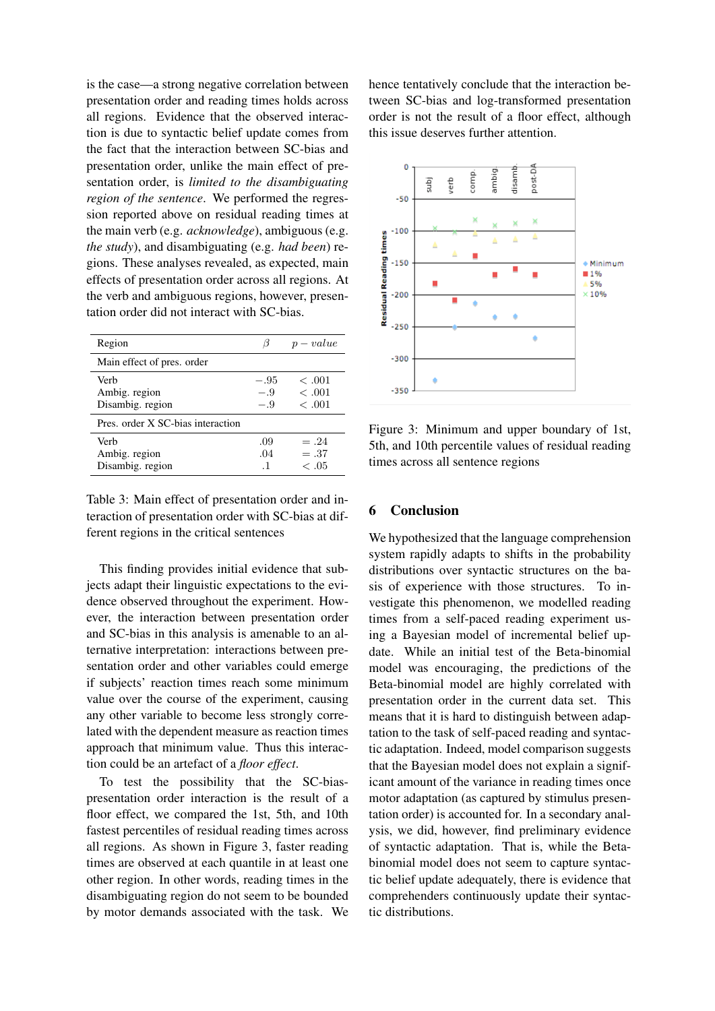is the case—a strong negative correlation between presentation order and reading times holds across all regions. Evidence that the observed interaction is due to syntactic belief update comes from the fact that the interaction between SC-bias and presentation order, unlike the main effect of presentation order, is *limited to the disambiguating region of the sentence*. We performed the regression reported above on residual reading times at the main verb (e.g. *acknowledge*), ambiguous (e.g. *the study*), and disambiguating (e.g. *had been*) regions. These analyses revealed, as expected, main effects of presentation order across all regions. At the verb and ambiguous regions, however, presentation order did not interact with SC-bias.

| Region                                    |                      | $p-value$                       |
|-------------------------------------------|----------------------|---------------------------------|
| Main effect of pres. order                |                      |                                 |
| Verb<br>Ambig. region<br>Disambig. region | $-.95$<br>- 9<br>- 9 | < 0.01<br><.001<br><.001        |
| Pres. order X SC-bias interaction         |                      |                                 |
| Verb<br>Ambig. region<br>Disambig. region | .09<br>.04<br>-1     | $= .24$<br>$=.37$<br>$\leq .05$ |

Table 3: Main effect of presentation order and interaction of presentation order with SC-bias at different regions in the critical sentences

This finding provides initial evidence that subjects adapt their linguistic expectations to the evidence observed throughout the experiment. However, the interaction between presentation order and SC-bias in this analysis is amenable to an alternative interpretation: interactions between presentation order and other variables could emerge if subjects' reaction times reach some minimum value over the course of the experiment, causing any other variable to become less strongly correlated with the dependent measure as reaction times approach that minimum value. Thus this interaction could be an artefact of a *floor effect*.

To test the possibility that the SC-biaspresentation order interaction is the result of a floor effect, we compared the 1st, 5th, and 10th fastest percentiles of residual reading times across all regions. As shown in Figure 3, faster reading times are observed at each quantile in at least one other region. In other words, reading times in the disambiguating region do not seem to be bounded by motor demands associated with the task. We hence tentatively conclude that the interaction between SC-bias and log-transformed presentation order is not the result of a floor effect, although this issue deserves further attention.



Figure 3: Minimum and upper boundary of 1st, 5th, and 10th percentile values of residual reading times across all sentence regions

# 6 Conclusion

We hypothesized that the language comprehension system rapidly adapts to shifts in the probability distributions over syntactic structures on the basis of experience with those structures. To investigate this phenomenon, we modelled reading times from a self-paced reading experiment using a Bayesian model of incremental belief update. While an initial test of the Beta-binomial model was encouraging, the predictions of the Beta-binomial model are highly correlated with presentation order in the current data set. This means that it is hard to distinguish between adaptation to the task of self-paced reading and syntactic adaptation. Indeed, model comparison suggests that the Bayesian model does not explain a significant amount of the variance in reading times once motor adaptation (as captured by stimulus presentation order) is accounted for. In a secondary analysis, we did, however, find preliminary evidence of syntactic adaptation. That is, while the Betabinomial model does not seem to capture syntactic belief update adequately, there is evidence that comprehenders continuously update their syntactic distributions.